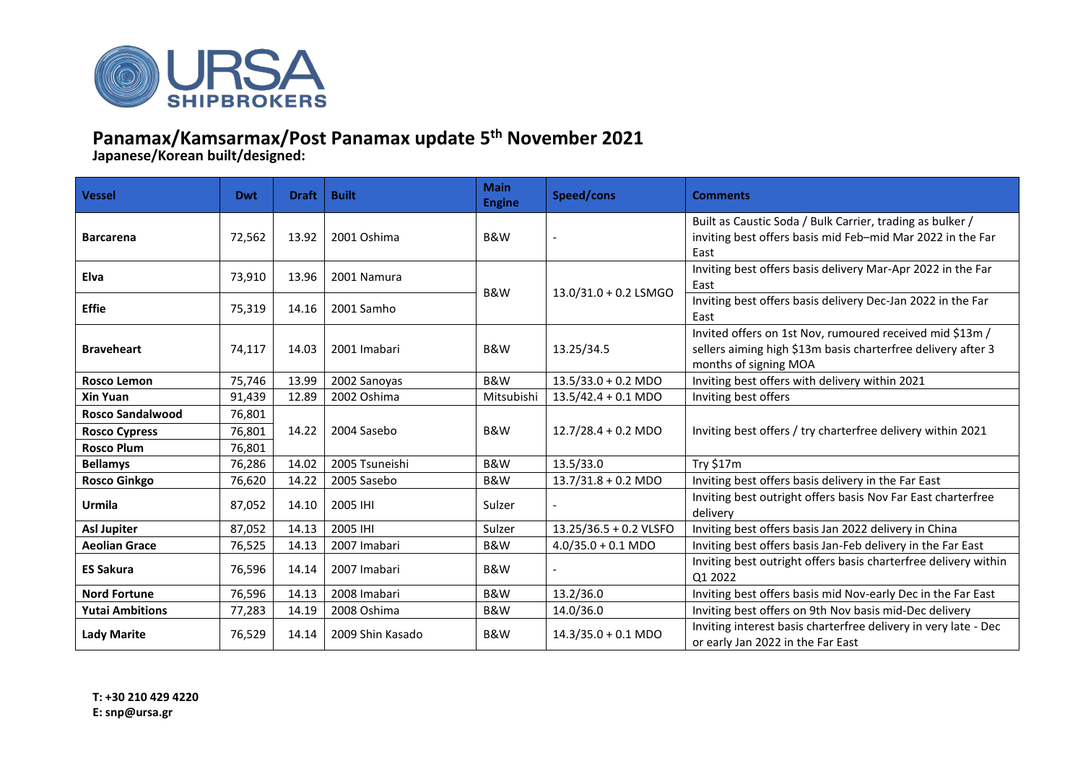

## **Panamax/Kamsarmax/Post Panamax update 5 th November 2021**

**Japanese/Korean built/designed:**

| <b>Vessel</b>           | Dwt    | <b>Draft</b> | <b>Built</b>     | <b>Main</b><br><b>Engine</b> | Speed/cons                    | <b>Comments</b>                                                                                                                                   |  |  |
|-------------------------|--------|--------------|------------------|------------------------------|-------------------------------|---------------------------------------------------------------------------------------------------------------------------------------------------|--|--|
| <b>Barcarena</b>        | 72,562 | 13.92        | 2001 Oshima      | B&W                          |                               | Built as Caustic Soda / Bulk Carrier, trading as bulker /<br>inviting best offers basis mid Feb-mid Mar 2022 in the Far<br>East                   |  |  |
| <b>Elva</b>             | 73,910 | 13.96        | 2001 Namura      | B&W                          | $13.0/31.0 + 0.2$ LSMGO       | Inviting best offers basis delivery Mar-Apr 2022 in the Far<br>East                                                                               |  |  |
| <b>Effie</b>            | 75,319 | 14.16        | 2001 Samho       |                              |                               | Inviting best offers basis delivery Dec-Jan 2022 in the Far<br>East                                                                               |  |  |
| <b>Braveheart</b>       | 74,117 | 14.03        | 2001 Imabari     | B&W                          | 13.25/34.5                    | Invited offers on 1st Nov, rumoured received mid \$13m /<br>sellers aiming high \$13m basis charterfree delivery after 3<br>months of signing MOA |  |  |
| <b>Rosco Lemon</b>      | 75,746 | 13.99        | 2002 Sanoyas     | <b>B&amp;W</b>               | $13.5/33.0 + 0.2$ MDO         | Inviting best offers with delivery within 2021                                                                                                    |  |  |
| <b>Xin Yuan</b>         | 91,439 | 12.89        | 2002 Oshima      | Mitsubishi                   | $13.5/42.4 + 0.1 \text{ MDO}$ | Inviting best offers                                                                                                                              |  |  |
| <b>Rosco Sandalwood</b> | 76,801 |              |                  |                              |                               |                                                                                                                                                   |  |  |
| <b>Rosco Cypress</b>    | 76,801 | 14.22        | 2004 Sasebo      | B&W                          | $12.7/28.4 + 0.2$ MDO         | Inviting best offers / try charterfree delivery within 2021                                                                                       |  |  |
| <b>Rosco Plum</b>       | 76,801 |              |                  |                              |                               |                                                                                                                                                   |  |  |
| <b>Bellamys</b>         | 76,286 | 14.02        | 2005 Tsuneishi   | B&W                          | 13.5/33.0                     | Try \$17m                                                                                                                                         |  |  |
| <b>Rosco Ginkgo</b>     | 76,620 | 14.22        | 2005 Sasebo      | B&W                          | $13.7/31.8 + 0.2$ MDO         | Inviting best offers basis delivery in the Far East                                                                                               |  |  |
| Urmila                  | 87,052 | 14.10        | 2005 IHI         | Sulzer                       |                               | Inviting best outright offers basis Nov Far East charterfree<br>delivery                                                                          |  |  |
| <b>Asl Jupiter</b>      | 87,052 | 14.13        | 2005 IHI         | Sulzer                       | 13.25/36.5 + 0.2 VLSFO        | Inviting best offers basis Jan 2022 delivery in China                                                                                             |  |  |
| <b>Aeolian Grace</b>    | 76,525 | 14.13        | 2007 Imabari     | B&W                          | $4.0/35.0 + 0.1$ MDO          | Inviting best offers basis Jan-Feb delivery in the Far East                                                                                       |  |  |
| <b>ES Sakura</b>        | 76,596 | 14.14        | 2007 Imabari     | B&W                          |                               | Inviting best outright offers basis charterfree delivery within<br>Q1 2022                                                                        |  |  |
| <b>Nord Fortune</b>     | 76,596 | 14.13        | 2008 Imabari     | <b>B&amp;W</b>               | 13.2/36.0                     | Inviting best offers basis mid Nov-early Dec in the Far East                                                                                      |  |  |
| <b>Yutai Ambitions</b>  | 77,283 | 14.19        | 2008 Oshima      | B&W                          | 14.0/36.0                     | Inviting best offers on 9th Nov basis mid-Dec delivery                                                                                            |  |  |
| <b>Lady Marite</b>      | 76,529 | 14.14        | 2009 Shin Kasado | B&W                          | $14.3/35.0 + 0.1$ MDO         | Inviting interest basis charterfree delivery in very late - Dec<br>or early Jan 2022 in the Far East                                              |  |  |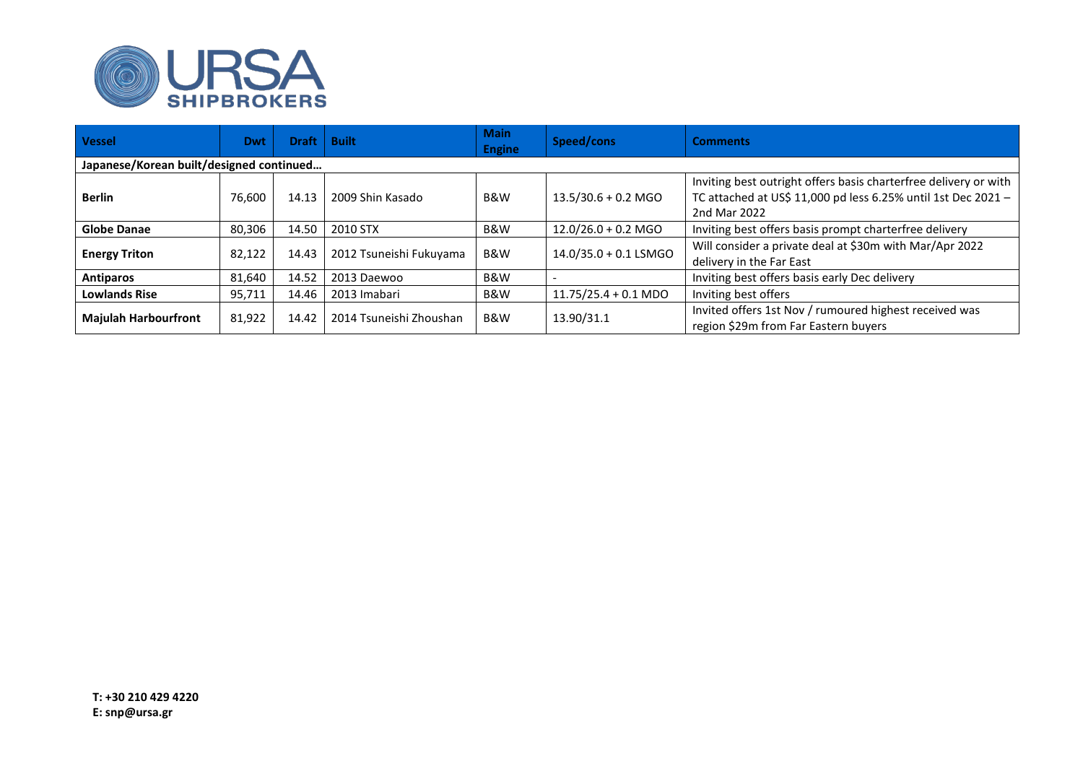

| <b>Vessel</b>                            | <b>Dwt</b> | <b>Draft</b> | <b>Built</b>            | <b>Main</b><br><b>Engine</b> | Speed/cons                     | <b>Comments</b>                                                                                                                                   |  |  |  |
|------------------------------------------|------------|--------------|-------------------------|------------------------------|--------------------------------|---------------------------------------------------------------------------------------------------------------------------------------------------|--|--|--|
| Japanese/Korean built/designed continued |            |              |                         |                              |                                |                                                                                                                                                   |  |  |  |
| <b>Berlin</b>                            | 76,600     | 14.13        | 2009 Shin Kasado        | B&W                          | $13.5/30.6 + 0.2$ MGO          | Inviting best outright offers basis charterfree delivery or with<br>TC attached at US\$ 11,000 pd less 6.25% until 1st Dec 2021 -<br>2nd Mar 2022 |  |  |  |
| <b>Globe Danae</b>                       | 80,306     | 14.50        | 2010 STX                | B&W                          | $12.0/26.0 + 0.2$ MGO          | Inviting best offers basis prompt charterfree delivery                                                                                            |  |  |  |
| <b>Energy Triton</b>                     | 82,122     | 14.43        | 2012 Tsuneishi Fukuyama | B&W                          | $14.0/35.0 + 0.1$ LSMGO        | Will consider a private deal at \$30m with Mar/Apr 2022<br>delivery in the Far East                                                               |  |  |  |
| Antiparos                                | 81.640     | 14.52        | 2013 Daewoo             | B&W                          |                                | Inviting best offers basis early Dec delivery                                                                                                     |  |  |  |
| <b>Lowlands Rise</b>                     | 95,711     | 14.46        | 2013 Imabari            | B&W                          | $11.75/25.4 + 0.1 \text{ MDO}$ | Inviting best offers                                                                                                                              |  |  |  |
| <b>Majulah Harbourfront</b>              | 81,922     | 14.42        | 2014 Tsuneishi Zhoushan | B&W                          | 13.90/31.1                     | Invited offers 1st Nov / rumoured highest received was<br>region \$29m from Far Eastern buyers                                                    |  |  |  |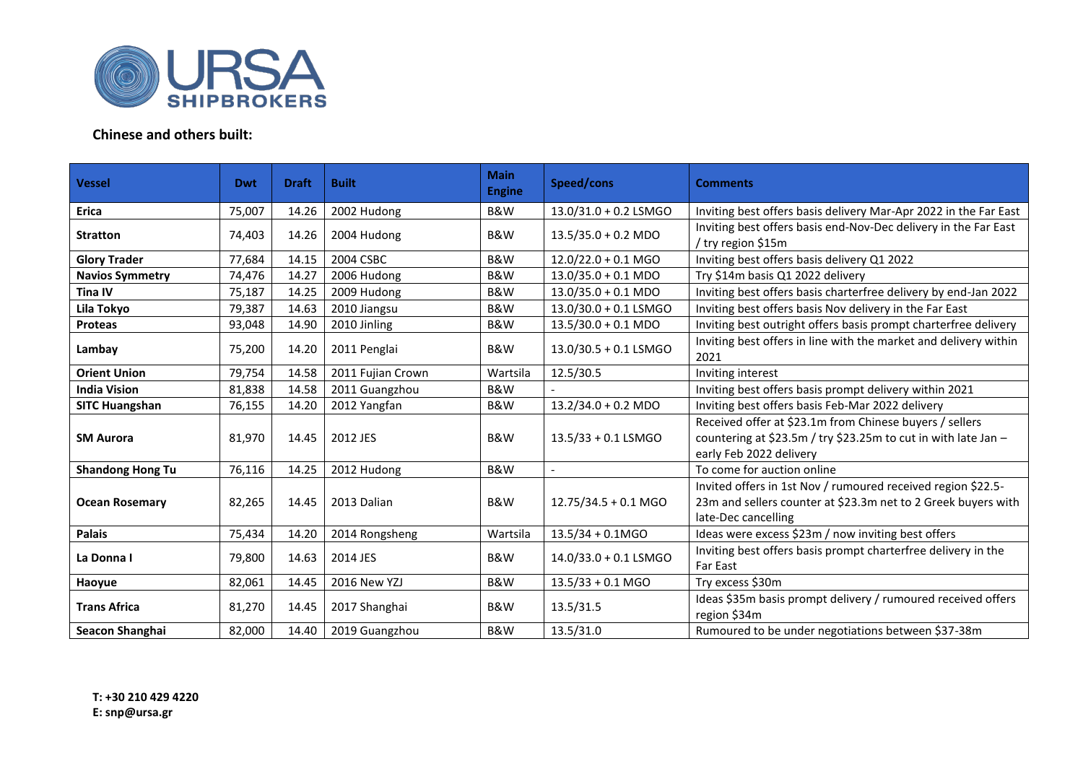

## **Chinese and others built:**

| <b>Vessel</b>           | <b>Dwt</b> | <b>Draft</b> | <b>Built</b>      | <b>Main</b><br><b>Engine</b> | Speed/cons                    | <b>Comments</b>                                                                                                                                      |  |  |
|-------------------------|------------|--------------|-------------------|------------------------------|-------------------------------|------------------------------------------------------------------------------------------------------------------------------------------------------|--|--|
| <b>Erica</b>            | 75,007     | 14.26        | 2002 Hudong       | <b>B&amp;W</b>               | 13.0/31.0 + 0.2 LSMGO         | Inviting best offers basis delivery Mar-Apr 2022 in the Far East                                                                                     |  |  |
| <b>Stratton</b>         | 74,403     | 14.26        | 2004 Hudong       | B&W                          | $13.5/35.0 + 0.2$ MDO         | Inviting best offers basis end-Nov-Dec delivery in the Far East<br>/ try region \$15m                                                                |  |  |
| <b>Glory Trader</b>     | 77,684     | 14.15        | 2004 CSBC         | <b>B&amp;W</b>               | $12.0/22.0 + 0.1$ MGO         | Inviting best offers basis delivery Q1 2022                                                                                                          |  |  |
| <b>Navios Symmetry</b>  | 74,476     | 14.27        | 2006 Hudong       | <b>B&amp;W</b>               | $13.0/35.0 + 0.1 \text{ MDO}$ | Try \$14m basis Q1 2022 delivery                                                                                                                     |  |  |
| <b>Tina IV</b>          | 75,187     | 14.25        | 2009 Hudong       | <b>B&amp;W</b>               | $13.0/35.0 + 0.1 \text{ MDO}$ | Inviting best offers basis charterfree delivery by end-Jan 2022                                                                                      |  |  |
| Lila Tokyo              | 79,387     | 14.63        | 2010 Jiangsu      | B&W                          | 13.0/30.0 + 0.1 LSMGO         | Inviting best offers basis Nov delivery in the Far East                                                                                              |  |  |
| Proteas                 | 93,048     | 14.90        | 2010 Jinling      | B&W                          | $13.5/30.0 + 0.1 \text{ MDO}$ | Inviting best outright offers basis prompt charterfree delivery                                                                                      |  |  |
| Lambay                  | 75,200     | 14.20        | 2011 Penglai      | B&W                          | 13.0/30.5 + 0.1 LSMGO         | Inviting best offers in line with the market and delivery within<br>2021                                                                             |  |  |
| <b>Orient Union</b>     | 79,754     | 14.58        | 2011 Fujian Crown | Wartsila                     | 12.5/30.5                     | Inviting interest                                                                                                                                    |  |  |
| <b>India Vision</b>     | 81,838     | 14.58        | 2011 Guangzhou    | <b>B&amp;W</b>               |                               | Inviting best offers basis prompt delivery within 2021                                                                                               |  |  |
| <b>SITC Huangshan</b>   | 76,155     | 14.20        | 2012 Yangfan      | B&W                          | $13.2/34.0 + 0.2$ MDO         | Inviting best offers basis Feb-Mar 2022 delivery                                                                                                     |  |  |
| <b>SM Aurora</b>        | 81,970     | 14.45        | 2012 JES          | B&W                          | $13.5/33 + 0.1$ LSMGO         | Received offer at \$23.1m from Chinese buyers / sellers<br>countering at \$23.5m / try \$23.25m to cut in with late Jan -<br>early Feb 2022 delivery |  |  |
| <b>Shandong Hong Tu</b> | 76,116     | 14.25        | 2012 Hudong       | B&W                          | $\blacksquare$                | To come for auction online                                                                                                                           |  |  |
| <b>Ocean Rosemary</b>   | 82,265     | 14.45        | 2013 Dalian       | B&W                          | 12.75/34.5 + 0.1 MGO          | Invited offers in 1st Nov / rumoured received region \$22.5-<br>23m and sellers counter at \$23.3m net to 2 Greek buyers with<br>late-Dec cancelling |  |  |
| <b>Palais</b>           | 75,434     | 14.20        | 2014 Rongsheng    | Wartsila                     | $13.5/34 + 0.1MGO$            | Ideas were excess \$23m / now inviting best offers                                                                                                   |  |  |
| La Donna I              | 79,800     | 14.63        | 2014 JES          | B&W                          | $14.0/33.0 + 0.1$ LSMGO       | Inviting best offers basis prompt charterfree delivery in the<br>Far East                                                                            |  |  |
| Haoyue                  | 82,061     | 14.45        | 2016 New YZJ      | B&W                          | $13.5/33 + 0.1$ MGO           | Try excess \$30m                                                                                                                                     |  |  |
| <b>Trans Africa</b>     | 81,270     | 14.45        | 2017 Shanghai     | B&W                          | 13.5/31.5                     | Ideas \$35m basis prompt delivery / rumoured received offers<br>region \$34m                                                                         |  |  |
| Seacon Shanghai         | 82,000     | 14.40        | 2019 Guangzhou    | B&W                          | 13.5/31.0                     | Rumoured to be under negotiations between \$37-38m                                                                                                   |  |  |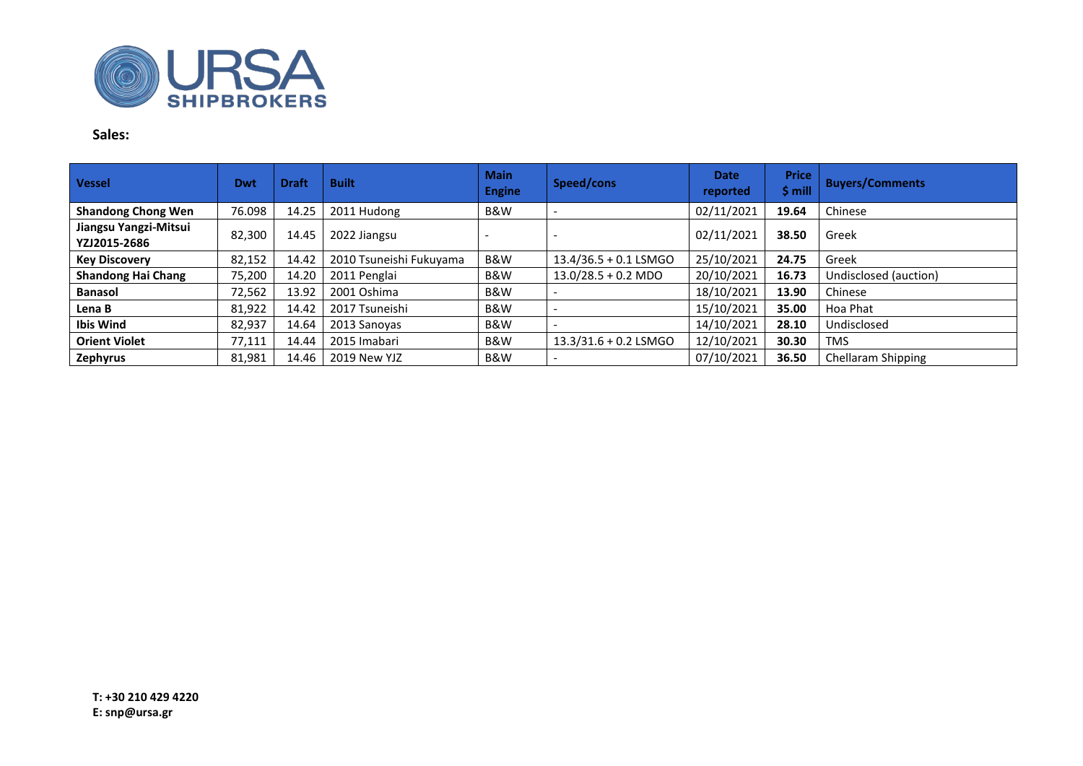

## **Sales:**

| <b>Vessel</b>                         | Dwt    | <b>Draft</b> | <b>Built</b>            | <b>Main</b><br><b>Engine</b> | Speed/cons              | <b>Date</b><br>reported | <b>Price</b><br>$$$ mill | <b>Buyers/Comments</b> |
|---------------------------------------|--------|--------------|-------------------------|------------------------------|-------------------------|-------------------------|--------------------------|------------------------|
| <b>Shandong Chong Wen</b>             | 76.098 | 14.25        | 2011 Hudong             | B&W                          |                         | 02/11/2021              | 19.64                    | Chinese                |
| Jiangsu Yangzi-Mitsui<br>YZJ2015-2686 | 82,300 | 14.45        | 2022 Jiangsu            |                              |                         | 02/11/2021              | 38.50                    | Greek                  |
| <b>Key Discovery</b>                  | 82,152 | 14.42        | 2010 Tsuneishi Fukuyama | B&W                          | $13.4/36.5 + 0.1$ LSMGO | 25/10/2021              | 24.75                    | Greek                  |
| <b>Shandong Hai Chang</b>             | 75,200 | 14.20        | 2011 Penglai            | B&W                          | $13.0/28.5 + 0.2$ MDO   | 20/10/2021              | 16.73                    | Undisclosed (auction)  |
| <b>Banasol</b>                        | 72,562 | 13.92        | 2001 Oshima             | B&W                          |                         | 18/10/2021              | 13.90                    | Chinese                |
| Lena B                                | 81,922 | 14.42        | 2017 Tsuneishi          | B&W                          |                         | 15/10/2021              | 35.00                    | Hoa Phat               |
| <b>Ibis Wind</b>                      | 82,937 | 14.64        | 2013 Sanoyas            | B&W                          |                         | 14/10/2021              | 28.10                    | Undisclosed            |
| <b>Orient Violet</b>                  | 77,111 | 14.44        | 2015 Imabari            | B&W                          | 13.3/31.6 + 0.2 LSMGO   | 12/10/2021              | 30.30                    | <b>TMS</b>             |
| Zephyrus                              | 81,981 | 14.46        | 2019 New YJZ            | B&W                          |                         | 07/10/2021              | 36.50                    | Chellaram Shipping     |